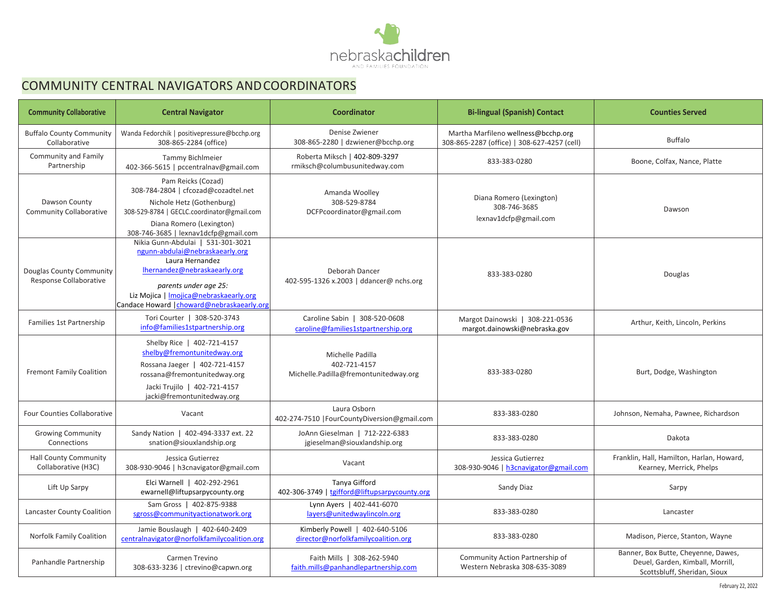

# COMMUNITY CENTRAL NAVIGATORS ANDCOORDINATORS

| <b>Community Collaborative</b>                      | <b>Central Navigator</b>                                                                                                                                                                                                                 | <b>Coordinator</b>                                                        | <b>Bi-lingual (Spanish) Contact</b>                                                | <b>Counties Served</b>                                                                                  |
|-----------------------------------------------------|------------------------------------------------------------------------------------------------------------------------------------------------------------------------------------------------------------------------------------------|---------------------------------------------------------------------------|------------------------------------------------------------------------------------|---------------------------------------------------------------------------------------------------------|
| <b>Buffalo County Community</b><br>Collaborative    | Wanda Fedorchik   positivepressure@bcchp.org<br>308-865-2284 (office)                                                                                                                                                                    | Denise Zwiener<br>308-865-2280   dzwiener@bcchp.org                       | Martha Marfileno wellness@bcchp.org<br>308-865-2287 (office)   308-627-4257 (cell) | <b>Buffalo</b>                                                                                          |
| Community and Family<br>Partnership                 | <b>Tammy Bichlmeier</b><br>402-366-5615   pccentralnav@gmail.com                                                                                                                                                                         | Roberta Miksch   402-809-3297<br>rmiksch@columbusunitedway.com            | 833-383-0280                                                                       | Boone, Colfax, Nance, Platte                                                                            |
| Dawson County<br><b>Community Collaborative</b>     | Pam Reicks (Cozad)<br>308-784-2804   cfcozad@cozadtel.net<br>Nichole Hetz (Gothenburg)<br>308-529-8784   GECLC.coordinator@gmail.com<br>Diana Romero (Lexington)<br>308-746-3685   lexnav1dcfp@gmail.com                                 | Amanda Woolley<br>308-529-8784<br>DCFPcoordinator@gmail.com               | Diana Romero (Lexington)<br>308-746-3685<br>lexnav1dcfp@gmail.com                  | Dawson                                                                                                  |
| Douglas County Community<br>Response Collaborative  | Nikia Gunn-Abdulai   531-301-3021<br>ngunn-abdulai@nebraskaearly.org<br>Laura Hernandez<br>Ihernandez@nebraskaearly.org<br>parents under age 25:<br>Liz Mojica   Imojica@nebraskaearly.org<br>Candace Howard   choward@nebraskaearly.org | Deborah Dancer<br>402-595-1326 x.2003   ddancer@ nchs.org                 | 833-383-0280                                                                       | Douglas                                                                                                 |
| Families 1st Partnership                            | Tori Courter   308-520-3743<br>info@families1stpartnership.org                                                                                                                                                                           | Caroline Sabin   308-520-0608<br>caroline@families1stpartnership.org      | Margot Dainowski   308-221-0536<br>margot.dainowski@nebraska.gov                   | Arthur, Keith, Lincoln, Perkins                                                                         |
| <b>Fremont Family Coalition</b>                     | Shelby Rice   402-721-4157<br>shelby@fremontunitedway.org<br>Rossana Jaeger   402-721-4157<br>rossana@fremontunitedway.org<br>Jacki Trujilo   402-721-4157<br>jacki@fremontunitedway.org                                                 | Michelle Padilla<br>402-721-4157<br>Michelle.Padilla@fremontunitedway.org | 833-383-0280                                                                       | Burt, Dodge, Washington                                                                                 |
| <b>Four Counties Collaborative</b>                  | Vacant                                                                                                                                                                                                                                   | Laura Osborn<br>402-274-7510   FourCountyDiversion@gmail.com              | 833-383-0280                                                                       | Johnson, Nemaha, Pawnee, Richardson                                                                     |
| <b>Growing Community</b><br>Connections             | Sandy Nation   402-494-3337 ext. 22<br>snation@siouxlandship.org                                                                                                                                                                         | JoAnn Gieselman   712-222-6383<br>jgieselman@siouxlandship.org            | 833-383-0280                                                                       | Dakota                                                                                                  |
| <b>Hall County Community</b><br>Collaborative (H3C) | Jessica Gutierrez<br>308-930-9046   h3cnavigator@gmail.com                                                                                                                                                                               | Vacant                                                                    | Jessica Gutierrez<br>308-930-9046   h3cnavigator@gmail.com                         | Franklin, Hall, Hamilton, Harlan, Howard,<br>Kearney, Merrick, Phelps                                   |
| Lift Up Sarpy                                       | Elci Warnell   402-292-2961<br>ewarnell@liftupsarpycounty.org                                                                                                                                                                            | Tanya Gifford<br>402-306-3749   tgifford@liftupsarpycounty.org            | Sandy Diaz                                                                         | Sarpy                                                                                                   |
| Lancaster County Coalition                          | Sam Gross   402-875-9388<br>sgross@communityactionatwork.org                                                                                                                                                                             | Lynn Ayers   402-441-6070<br>layers@unitedwaylincoln.org                  | 833-383-0280                                                                       | Lancaster                                                                                               |
| Norfolk Family Coalition                            | Jamie Bouslaugh   402-640-2409<br>centralnavigator@norfolkfamilycoalition.org                                                                                                                                                            | Kimberly Powell   402-640-5106<br>director@norfolkfamilycoalition.org     | 833-383-0280                                                                       | Madison, Pierce, Stanton, Wayne                                                                         |
| Panhandle Partnership                               | Carmen Trevino<br>308-633-3236   ctrevino@capwn.org                                                                                                                                                                                      | Faith Mills   308-262-5940<br>faith.mills@panhandlepartnership.com        | Community Action Partnership of<br>Western Nebraska 308-635-3089                   | Banner, Box Butte, Cheyenne, Dawes,<br>Deuel, Garden, Kimball, Morrill,<br>Scottsbluff, Sheridan, Sioux |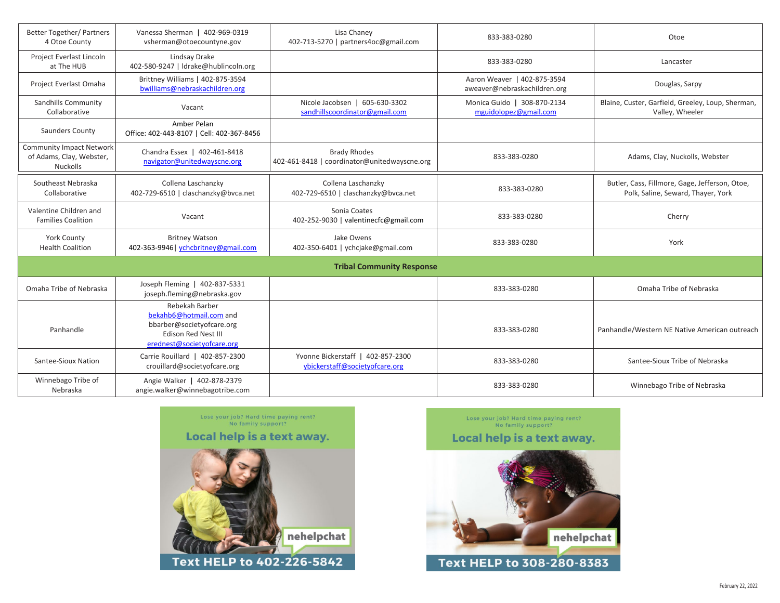| <b>Better Together/ Partners</b><br>4 Otoe County                              | Vanessa Sherman   402-969-0319<br>vsherman@otoecountyne.gov                                                                        | Lisa Chaney<br>402-713-5270   partners4oc@gmail.com                 | 833-383-0280                                                | Otoe                                                                                 |  |  |
|--------------------------------------------------------------------------------|------------------------------------------------------------------------------------------------------------------------------------|---------------------------------------------------------------------|-------------------------------------------------------------|--------------------------------------------------------------------------------------|--|--|
| Project Everlast Lincoln<br>at The HUB                                         | Lindsay Drake<br>402-580-9247   Idrake@hublincoln.org                                                                              |                                                                     | 833-383-0280                                                | Lancaster                                                                            |  |  |
| Project Everlast Omaha                                                         | Brittney Williams   402-875-3594<br>bwilliams@nebraskachildren.org                                                                 |                                                                     | Aaron Weaver   402-875-3594<br>aweaver@nebraskachildren.org | Douglas, Sarpy                                                                       |  |  |
| Sandhills Community<br>Collaborative                                           | Vacant                                                                                                                             | Nicole Jacobsen   605-630-3302<br>sandhillscoordinator@gmail.com    | Monica Guido   308-870-2134<br>mguidolopez@gmail.com        | Blaine, Custer, Garfield, Greeley, Loup, Sherman,<br>Valley, Wheeler                 |  |  |
| Saunders County                                                                | Amber Pelan<br>Office: 402-443-8107   Cell: 402-367-8456                                                                           |                                                                     |                                                             |                                                                                      |  |  |
| <b>Community Impact Network</b><br>of Adams, Clay, Webster,<br><b>Nuckolls</b> | Chandra Essex   402-461-8418<br>navigator@unitedwayscne.org                                                                        | <b>Brady Rhodes</b><br>402-461-8418   coordinator@unitedwayscne.org | 833-383-0280                                                | Adams, Clay, Nuckolls, Webster                                                       |  |  |
| Southeast Nebraska<br>Collaborative                                            | Collena Laschanzky<br>402-729-6510   claschanzky@bvca.net                                                                          | Collena Laschanzky<br>402-729-6510   claschanzky@bvca.net           | 833-383-0280                                                | Butler, Cass, Fillmore, Gage, Jefferson, Otoe,<br>Polk, Saline, Seward, Thayer, York |  |  |
| Valentine Children and<br><b>Families Coalition</b>                            | Vacant                                                                                                                             | Sonia Coates<br>402-252-9030   valentinecfc@gmail.com               | 833-383-0280                                                | Cherry                                                                               |  |  |
| <b>York County</b><br><b>Health Coalition</b>                                  | <b>Britney Watson</b><br>402-363-9946   ychcbritney@gmail.com                                                                      | Jake Owens<br>402-350-6401   ychcjake@gmail.com                     | 833-383-0280                                                | York                                                                                 |  |  |
| <b>Tribal Community Response</b>                                               |                                                                                                                                    |                                                                     |                                                             |                                                                                      |  |  |
| Omaha Tribe of Nebraska                                                        | Joseph Fleming   402-837-5331<br>joseph.fleming@nebraska.gov                                                                       |                                                                     | 833-383-0280                                                | Omaha Tribe of Nebraska                                                              |  |  |
| Panhandle                                                                      | Rebekah Barber<br>bekahb6@hotmail.com and<br>bbarber@societyofcare.org<br><b>Edison Red Nest III</b><br>erednest@societyofcare.org |                                                                     | 833-383-0280                                                | Panhandle/Western NE Native American outreach                                        |  |  |
| Santee-Sioux Nation                                                            | Carrie Rouillard   402-857-2300<br>crouillard@societyofcare.org                                                                    | Yvonne Bickerstaff   402-857-2300<br>ybickerstaff@societyofcare.org | 833-383-0280                                                | Santee-Sioux Tribe of Nebraska                                                       |  |  |
| Winnebago Tribe of<br>Nebraska                                                 | Angie Walker   402-878-2379<br>angie.walker@winnebagotribe.com                                                                     |                                                                     | 833-383-0280                                                | Winnebago Tribe of Nebraska                                                          |  |  |